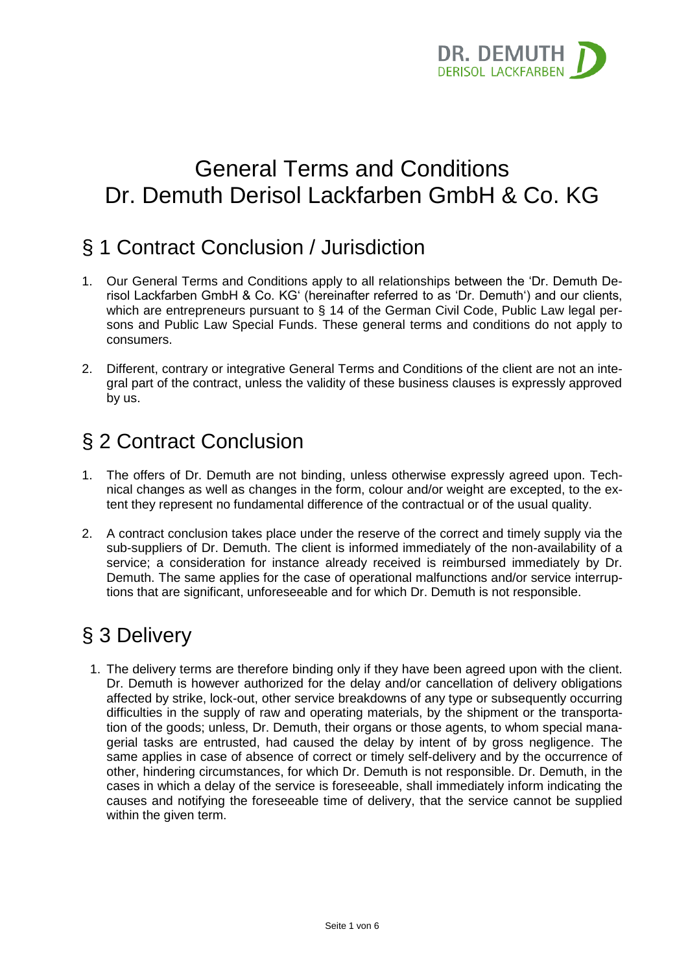

# General Terms and Conditions Dr. Demuth Derisol Lackfarben GmbH & Co. KG

## § 1 Contract Conclusion / Jurisdiction

- 1. Our General Terms and Conditions apply to all relationships between the 'Dr. Demuth Derisol Lackfarben GmbH & Co. KG' (hereinafter referred to as 'Dr. Demuth') and our clients, which are entrepreneurs pursuant to § 14 of the German Civil Code, Public Law legal persons and Public Law Special Funds. These general terms and conditions do not apply to consumers.
- 2. Different, contrary or integrative General Terms and Conditions of the client are not an integral part of the contract, unless the validity of these business clauses is expressly approved by us.

## § 2 Contract Conclusion

- 1. The offers of Dr. Demuth are not binding, unless otherwise expressly agreed upon. Technical changes as well as changes in the form, colour and/or weight are excepted, to the extent they represent no fundamental difference of the contractual or of the usual quality.
- 2. A contract conclusion takes place under the reserve of the correct and timely supply via the sub-suppliers of Dr. Demuth. The client is informed immediately of the non-availability of a service; a consideration for instance already received is reimbursed immediately by Dr. Demuth. The same applies for the case of operational malfunctions and/or service interruptions that are significant, unforeseeable and for which Dr. Demuth is not responsible.

# § 3 Delivery

1. The delivery terms are therefore binding only if they have been agreed upon with the client. Dr. Demuth is however authorized for the delay and/or cancellation of delivery obligations affected by strike, lock-out, other service breakdowns of any type or subsequently occurring difficulties in the supply of raw and operating materials, by the shipment or the transportation of the goods; unless, Dr. Demuth, their organs or those agents, to whom special managerial tasks are entrusted, had caused the delay by intent of by gross negligence. The same applies in case of absence of correct or timely self-delivery and by the occurrence of other, hindering circumstances, for which Dr. Demuth is not responsible. Dr. Demuth, in the cases in which a delay of the service is foreseeable, shall immediately inform indicating the causes and notifying the foreseeable time of delivery, that the service cannot be supplied within the given term.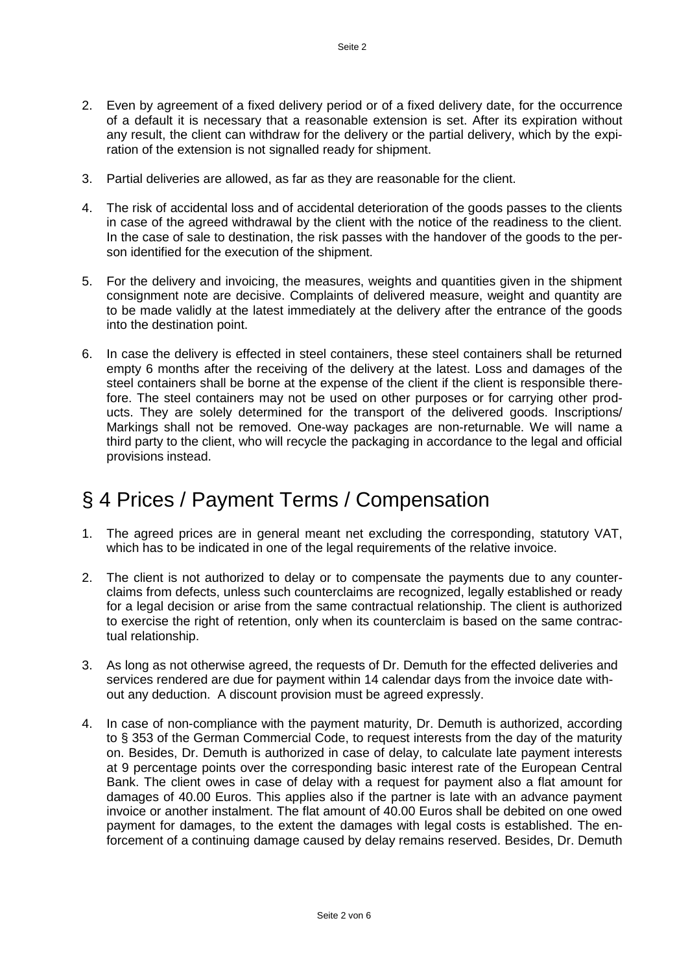- 2. Even by agreement of a fixed delivery period or of a fixed delivery date, for the occurrence of a default it is necessary that a reasonable extension is set. After its expiration without any result, the client can withdraw for the delivery or the partial delivery, which by the expiration of the extension is not signalled ready for shipment.
- 3. Partial deliveries are allowed, as far as they are reasonable for the client.
- 4. The risk of accidental loss and of accidental deterioration of the goods passes to the clients in case of the agreed withdrawal by the client with the notice of the readiness to the client. In the case of sale to destination, the risk passes with the handover of the goods to the person identified for the execution of the shipment.
- 5. For the delivery and invoicing, the measures, weights and quantities given in the shipment consignment note are decisive. Complaints of delivered measure, weight and quantity are to be made validly at the latest immediately at the delivery after the entrance of the goods into the destination point.
- 6. In case the delivery is effected in steel containers, these steel containers shall be returned empty 6 months after the receiving of the delivery at the latest. Loss and damages of the steel containers shall be borne at the expense of the client if the client is responsible therefore. The steel containers may not be used on other purposes or for carrying other products. They are solely determined for the transport of the delivered goods. Inscriptions/ Markings shall not be removed. One-way packages are non-returnable. We will name a third party to the client, who will recycle the packaging in accordance to the legal and official provisions instead.

## § 4 Prices / Payment Terms / Compensation

- 1. The agreed prices are in general meant net excluding the corresponding, statutory VAT, which has to be indicated in one of the legal requirements of the relative invoice.
- 2. The client is not authorized to delay or to compensate the payments due to any counterclaims from defects, unless such counterclaims are recognized, legally established or ready for a legal decision or arise from the same contractual relationship. The client is authorized to exercise the right of retention, only when its counterclaim is based on the same contractual relationship.
- 3. As long as not otherwise agreed, the requests of Dr. Demuth for the effected deliveries and services rendered are due for payment within 14 calendar days from the invoice date without any deduction. A discount provision must be agreed expressly.
- 4. In case of non-compliance with the payment maturity, Dr. Demuth is authorized, according to § 353 of the German Commercial Code, to request interests from the day of the maturity on. Besides, Dr. Demuth is authorized in case of delay, to calculate late payment interests at 9 percentage points over the corresponding basic interest rate of the European Central Bank. The client owes in case of delay with a request for payment also a flat amount for damages of 40.00 Euros. This applies also if the partner is late with an advance payment invoice or another instalment. The flat amount of 40.00 Euros shall be debited on one owed payment for damages, to the extent the damages with legal costs is established. The enforcement of a continuing damage caused by delay remains reserved. Besides, Dr. Demuth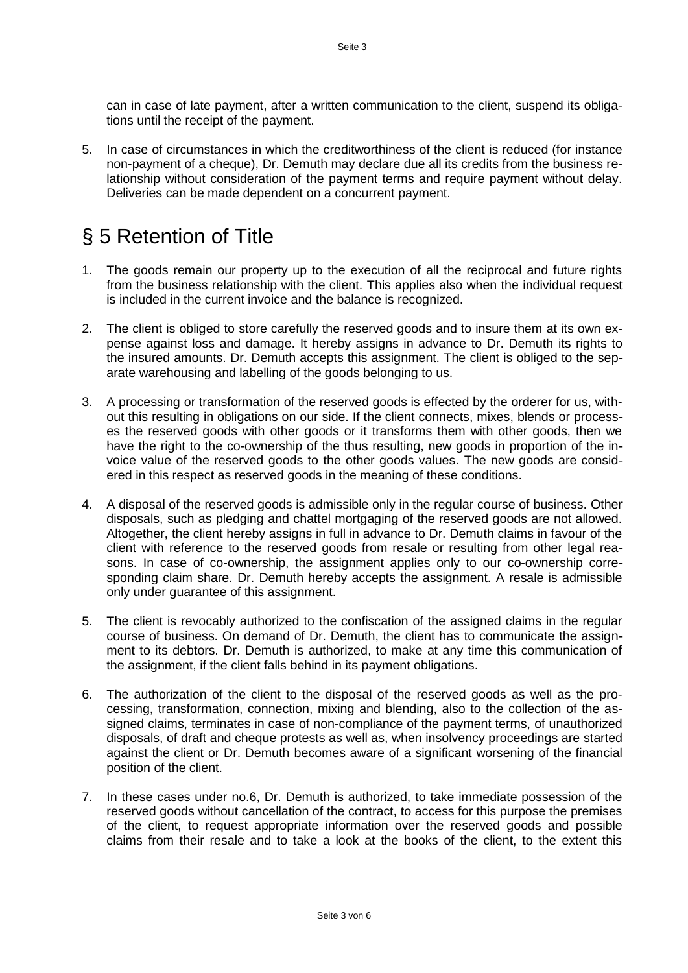can in case of late payment, after a written communication to the client, suspend its obligations until the receipt of the payment.

5. In case of circumstances in which the creditworthiness of the client is reduced (for instance non-payment of a cheque), Dr. Demuth may declare due all its credits from the business relationship without consideration of the payment terms and require payment without delay. Deliveries can be made dependent on a concurrent payment.

## § 5 Retention of Title

- 1. The goods remain our property up to the execution of all the reciprocal and future rights from the business relationship with the client. This applies also when the individual request is included in the current invoice and the balance is recognized.
- 2. The client is obliged to store carefully the reserved goods and to insure them at its own expense against loss and damage. It hereby assigns in advance to Dr. Demuth its rights to the insured amounts. Dr. Demuth accepts this assignment. The client is obliged to the separate warehousing and labelling of the goods belonging to us.
- 3. A processing or transformation of the reserved goods is effected by the orderer for us, without this resulting in obligations on our side. If the client connects, mixes, blends or processes the reserved goods with other goods or it transforms them with other goods, then we have the right to the co-ownership of the thus resulting, new goods in proportion of the invoice value of the reserved goods to the other goods values. The new goods are considered in this respect as reserved goods in the meaning of these conditions.
- 4. A disposal of the reserved goods is admissible only in the regular course of business. Other disposals, such as pledging and chattel mortgaging of the reserved goods are not allowed. Altogether, the client hereby assigns in full in advance to Dr. Demuth claims in favour of the client with reference to the reserved goods from resale or resulting from other legal reasons. In case of co-ownership, the assignment applies only to our co-ownership corresponding claim share. Dr. Demuth hereby accepts the assignment. A resale is admissible only under guarantee of this assignment.
- 5. The client is revocably authorized to the confiscation of the assigned claims in the regular course of business. On demand of Dr. Demuth, the client has to communicate the assignment to its debtors. Dr. Demuth is authorized, to make at any time this communication of the assignment, if the client falls behind in its payment obligations.
- 6. The authorization of the client to the disposal of the reserved goods as well as the processing, transformation, connection, mixing and blending, also to the collection of the assigned claims, terminates in case of non-compliance of the payment terms, of unauthorized disposals, of draft and cheque protests as well as, when insolvency proceedings are started against the client or Dr. Demuth becomes aware of a significant worsening of the financial position of the client.
- 7. In these cases under no.6, Dr. Demuth is authorized, to take immediate possession of the reserved goods without cancellation of the contract, to access for this purpose the premises of the client, to request appropriate information over the reserved goods and possible claims from their resale and to take a look at the books of the client, to the extent this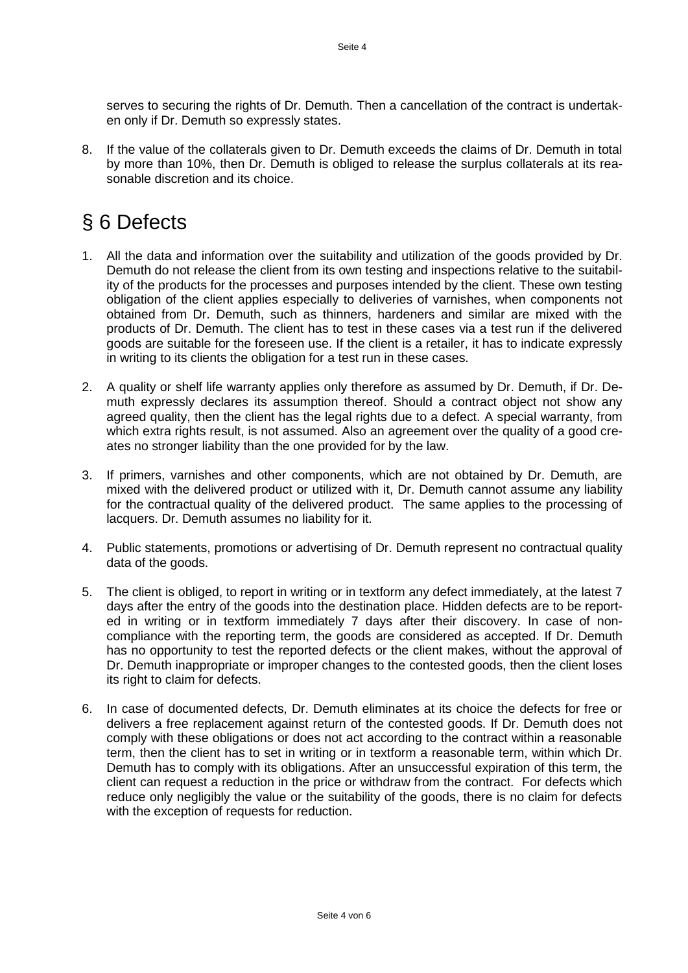serves to securing the rights of Dr. Demuth. Then a cancellation of the contract is undertaken only if Dr. Demuth so expressly states.

8. If the value of the collaterals given to Dr. Demuth exceeds the claims of Dr. Demuth in total by more than 10%, then Dr. Demuth is obliged to release the surplus collaterals at its reasonable discretion and its choice.

# § 6 Defects

- 1. All the data and information over the suitability and utilization of the goods provided by Dr. Demuth do not release the client from its own testing and inspections relative to the suitability of the products for the processes and purposes intended by the client. These own testing obligation of the client applies especially to deliveries of varnishes, when components not obtained from Dr. Demuth, such as thinners, hardeners and similar are mixed with the products of Dr. Demuth. The client has to test in these cases via a test run if the delivered goods are suitable for the foreseen use. If the client is a retailer, it has to indicate expressly in writing to its clients the obligation for a test run in these cases.
- 2. A quality or shelf life warranty applies only therefore as assumed by Dr. Demuth, if Dr. Demuth expressly declares its assumption thereof. Should a contract object not show any agreed quality, then the client has the legal rights due to a defect. A special warranty, from which extra rights result, is not assumed. Also an agreement over the quality of a good creates no stronger liability than the one provided for by the law.
- 3. If primers, varnishes and other components, which are not obtained by Dr. Demuth, are mixed with the delivered product or utilized with it, Dr. Demuth cannot assume any liability for the contractual quality of the delivered product. The same applies to the processing of lacquers. Dr. Demuth assumes no liability for it.
- 4. Public statements, promotions or advertising of Dr. Demuth represent no contractual quality data of the goods.
- 5. The client is obliged, to report in writing or in textform any defect immediately, at the latest 7 days after the entry of the goods into the destination place. Hidden defects are to be reported in writing or in textform immediately 7 days after their discovery. In case of noncompliance with the reporting term, the goods are considered as accepted. If Dr. Demuth has no opportunity to test the reported defects or the client makes, without the approval of Dr. Demuth inappropriate or improper changes to the contested goods, then the client loses its right to claim for defects.
- 6. In case of documented defects, Dr. Demuth eliminates at its choice the defects for free or delivers a free replacement against return of the contested goods. If Dr. Demuth does not comply with these obligations or does not act according to the contract within a reasonable term, then the client has to set in writing or in textform a reasonable term, within which Dr. Demuth has to comply with its obligations. After an unsuccessful expiration of this term, the client can request a reduction in the price or withdraw from the contract. For defects which reduce only negligibly the value or the suitability of the goods, there is no claim for defects with the exception of requests for reduction.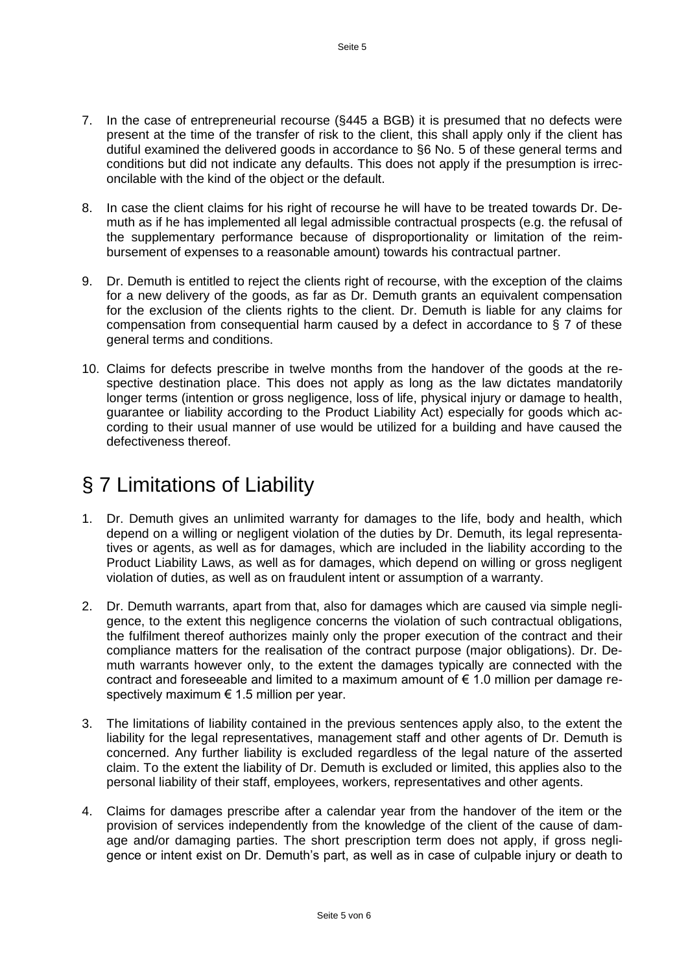- 7. In the case of entrepreneurial recourse (§445 a BGB) it is presumed that no defects were present at the time of the transfer of risk to the client, this shall apply only if the client has dutiful examined the delivered goods in accordance to §6 No. 5 of these general terms and conditions but did not indicate any defaults. This does not apply if the presumption is irreconcilable with the kind of the object or the default.
- 8. In case the client claims for his right of recourse he will have to be treated towards Dr. Demuth as if he has implemented all legal admissible contractual prospects (e.g. the refusal of the supplementary performance because of disproportionality or limitation of the reimbursement of expenses to a reasonable amount) towards his contractual partner.
- 9. Dr. Demuth is entitled to reject the clients right of recourse, with the exception of the claims for a new delivery of the goods, as far as Dr. Demuth grants an equivalent compensation for the exclusion of the clients rights to the client. Dr. Demuth is liable for any claims for compensation from consequential harm caused by a defect in accordance to § 7 of these general terms and conditions.
- 10. Claims for defects prescribe in twelve months from the handover of the goods at the respective destination place. This does not apply as long as the law dictates mandatorily longer terms (intention or gross negligence, loss of life, physical injury or damage to health, guarantee or liability according to the Product Liability Act) especially for goods which according to their usual manner of use would be utilized for a building and have caused the defectiveness thereof.

## § 7 Limitations of Liability

- 1. Dr. Demuth gives an unlimited warranty for damages to the life, body and health, which depend on a willing or negligent violation of the duties by Dr. Demuth, its legal representatives or agents, as well as for damages, which are included in the liability according to the Product Liability Laws, as well as for damages, which depend on willing or gross negligent violation of duties, as well as on fraudulent intent or assumption of a warranty.
- 2. Dr. Demuth warrants, apart from that, also for damages which are caused via simple negligence, to the extent this negligence concerns the violation of such contractual obligations, the fulfilment thereof authorizes mainly only the proper execution of the contract and their compliance matters for the realisation of the contract purpose (major obligations). Dr. Demuth warrants however only, to the extent the damages typically are connected with the contract and foreseeable and limited to a maximum amount of  $\epsilon$  1.0 million per damage respectively maximum  $\epsilon$  1.5 million per year.
- 3. The limitations of liability contained in the previous sentences apply also, to the extent the liability for the legal representatives, management staff and other agents of Dr. Demuth is concerned. Any further liability is excluded regardless of the legal nature of the asserted claim. To the extent the liability of Dr. Demuth is excluded or limited, this applies also to the personal liability of their staff, employees, workers, representatives and other agents.
- 4. Claims for damages prescribe after a calendar year from the handover of the item or the provision of services independently from the knowledge of the client of the cause of damage and/or damaging parties. The short prescription term does not apply, if gross negligence or intent exist on Dr. Demuth's part, as well as in case of culpable injury or death to